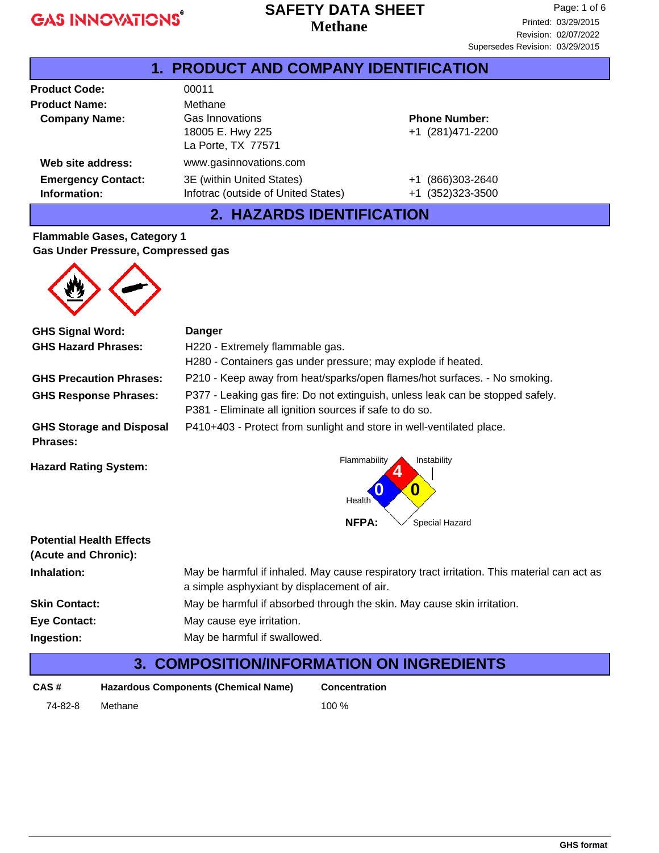## **Methane SAFETY DATA SHEET**

| <b>1. PRODUCT AND COMPANY IDENTIFICATION</b> |                                                                  |                                          |  |
|----------------------------------------------|------------------------------------------------------------------|------------------------------------------|--|
| <b>Product Code:</b>                         | 00011                                                            |                                          |  |
| <b>Product Name:</b>                         | Methane                                                          |                                          |  |
| <b>Company Name:</b>                         | Gas Innovations<br>18005 E. Hwy 225<br>La Porte, TX 77571        | <b>Phone Number:</b><br>+1 (281)471-2200 |  |
| Web site address:                            | www.gasinnovations.com                                           |                                          |  |
| <b>Emergency Contact:</b><br>Information:    | 3E (within United States)<br>Infotrac (outside of United States) | +1 (866)303-2640<br>(352)323-3500<br>+1  |  |

## **2. HAZARDS IDENTIFICATION**

#### **Flammable Gases, Category 1 Gas Under Pressure, Compressed gas**



| <b>GHS Signal Word:</b>                             | <b>Danger</b>                                                                                                                              |  |  |
|-----------------------------------------------------|--------------------------------------------------------------------------------------------------------------------------------------------|--|--|
| <b>GHS Hazard Phrases:</b>                          | H220 - Extremely flammable gas.                                                                                                            |  |  |
|                                                     | H280 - Containers gas under pressure; may explode if heated.                                                                               |  |  |
| <b>GHS Precaution Phrases:</b>                      | P210 - Keep away from heat/sparks/open flames/hot surfaces. - No smoking.                                                                  |  |  |
| <b>GHS Response Phrases:</b>                        | P377 - Leaking gas fire: Do not extinguish, unless leak can be stopped safely.<br>P381 - Eliminate all ignition sources if safe to do so.  |  |  |
| <b>GHS Storage and Disposal</b><br>Phrases:         | P410+403 - Protect from sunlight and store in well-ventilated place.                                                                       |  |  |
| <b>Hazard Rating System:</b>                        | Flammability<br>Instability<br>0<br>Health                                                                                                 |  |  |
|                                                     | <b>NFPA:</b><br>Special Hazard                                                                                                             |  |  |
| <b>Potential Health Effects</b>                     |                                                                                                                                            |  |  |
| (Acute and Chronic):                                |                                                                                                                                            |  |  |
| Inhalation:                                         | May be harmful if inhaled. May cause respiratory tract irritation. This material can act as<br>a simple asphyxiant by displacement of air. |  |  |
| <b>Skin Contact:</b>                                | May be harmful if absorbed through the skin. May cause skin irritation.                                                                    |  |  |
| <b>Eye Contact:</b>                                 | May cause eye irritation.                                                                                                                  |  |  |
| Ingestion:                                          | May be harmful if swallowed.                                                                                                               |  |  |
| <b>COMPOSITION/INFORMATION ON INGREDIENTS</b><br>3. |                                                                                                                                            |  |  |

| CAS #   | Hazardous Components (Chemical Name) | <b>Concentration</b> |
|---------|--------------------------------------|----------------------|
| 74-82-8 | Methane                              | 100 $%$              |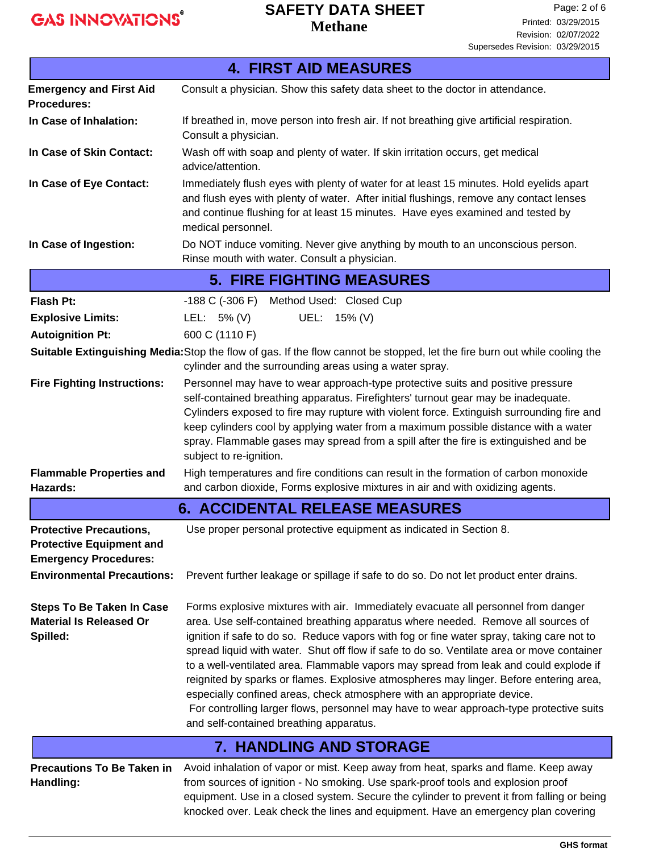# **SAFETY DATA SHEET**

**Methane**

| <b>4. FIRST AID MEASURES</b>                                                                                                           |                                                                                                                                                                                                                                                                                                                                                                                                                                                                                                                                                                                                                                                                                                                                                                      |  |  |
|----------------------------------------------------------------------------------------------------------------------------------------|----------------------------------------------------------------------------------------------------------------------------------------------------------------------------------------------------------------------------------------------------------------------------------------------------------------------------------------------------------------------------------------------------------------------------------------------------------------------------------------------------------------------------------------------------------------------------------------------------------------------------------------------------------------------------------------------------------------------------------------------------------------------|--|--|
| <b>Emergency and First Aid</b><br><b>Procedures:</b>                                                                                   | Consult a physician. Show this safety data sheet to the doctor in attendance.                                                                                                                                                                                                                                                                                                                                                                                                                                                                                                                                                                                                                                                                                        |  |  |
| In Case of Inhalation:                                                                                                                 | If breathed in, move person into fresh air. If not breathing give artificial respiration.<br>Consult a physician.                                                                                                                                                                                                                                                                                                                                                                                                                                                                                                                                                                                                                                                    |  |  |
| In Case of Skin Contact:                                                                                                               | Wash off with soap and plenty of water. If skin irritation occurs, get medical<br>advice/attention.                                                                                                                                                                                                                                                                                                                                                                                                                                                                                                                                                                                                                                                                  |  |  |
| In Case of Eye Contact:                                                                                                                | Immediately flush eyes with plenty of water for at least 15 minutes. Hold eyelids apart<br>and flush eyes with plenty of water. After initial flushings, remove any contact lenses<br>and continue flushing for at least 15 minutes. Have eyes examined and tested by<br>medical personnel.                                                                                                                                                                                                                                                                                                                                                                                                                                                                          |  |  |
| In Case of Ingestion:                                                                                                                  | Do NOT induce vomiting. Never give anything by mouth to an unconscious person.<br>Rinse mouth with water. Consult a physician.                                                                                                                                                                                                                                                                                                                                                                                                                                                                                                                                                                                                                                       |  |  |
|                                                                                                                                        | <b>5. FIRE FIGHTING MEASURES</b>                                                                                                                                                                                                                                                                                                                                                                                                                                                                                                                                                                                                                                                                                                                                     |  |  |
| Flash Pt:                                                                                                                              | -188 C (-306 F) Method Used: Closed Cup                                                                                                                                                                                                                                                                                                                                                                                                                                                                                                                                                                                                                                                                                                                              |  |  |
| <b>Explosive Limits:</b>                                                                                                               | UEL: 15% (V)<br>LEL: $5\%$ (V)                                                                                                                                                                                                                                                                                                                                                                                                                                                                                                                                                                                                                                                                                                                                       |  |  |
| <b>Autoignition Pt:</b>                                                                                                                | 600 C (1110 F)                                                                                                                                                                                                                                                                                                                                                                                                                                                                                                                                                                                                                                                                                                                                                       |  |  |
|                                                                                                                                        | Suitable Extinguishing Media: Stop the flow of gas. If the flow cannot be stopped, let the fire burn out while cooling the<br>cylinder and the surrounding areas using a water spray.                                                                                                                                                                                                                                                                                                                                                                                                                                                                                                                                                                                |  |  |
| <b>Fire Fighting Instructions:</b>                                                                                                     | Personnel may have to wear approach-type protective suits and positive pressure<br>self-contained breathing apparatus. Firefighters' turnout gear may be inadequate.<br>Cylinders exposed to fire may rupture with violent force. Extinguish surrounding fire and<br>keep cylinders cool by applying water from a maximum possible distance with a water<br>spray. Flammable gases may spread from a spill after the fire is extinguished and be<br>subject to re-ignition.                                                                                                                                                                                                                                                                                          |  |  |
| <b>Flammable Properties and</b><br>Hazards:                                                                                            | High temperatures and fire conditions can result in the formation of carbon monoxide<br>and carbon dioxide, Forms explosive mixtures in air and with oxidizing agents.                                                                                                                                                                                                                                                                                                                                                                                                                                                                                                                                                                                               |  |  |
|                                                                                                                                        | <b>6. ACCIDENTAL RELEASE MEASURES</b>                                                                                                                                                                                                                                                                                                                                                                                                                                                                                                                                                                                                                                                                                                                                |  |  |
| <b>Protective Precautions,</b><br><b>Protective Equipment and</b><br><b>Emergency Procedures:</b><br><b>Environmental Precautions:</b> | Use proper personal protective equipment as indicated in Section 8.<br>Prevent further leakage or spillage if safe to do so. Do not let product enter drains.                                                                                                                                                                                                                                                                                                                                                                                                                                                                                                                                                                                                        |  |  |
| <b>Steps To Be Taken In Case</b><br><b>Material Is Released Or</b><br>Spilled:                                                         | Forms explosive mixtures with air. Immediately evacuate all personnel from danger<br>area. Use self-contained breathing apparatus where needed. Remove all sources of<br>ignition if safe to do so. Reduce vapors with fog or fine water spray, taking care not to<br>spread liquid with water. Shut off flow if safe to do so. Ventilate area or move container<br>to a well-ventilated area. Flammable vapors may spread from leak and could explode if<br>reignited by sparks or flames. Explosive atmospheres may linger. Before entering area,<br>especially confined areas, check atmosphere with an appropriate device.<br>For controlling larger flows, personnel may have to wear approach-type protective suits<br>and self-contained breathing apparatus. |  |  |
|                                                                                                                                        | <b>7. HANDLING AND STORAGE</b>                                                                                                                                                                                                                                                                                                                                                                                                                                                                                                                                                                                                                                                                                                                                       |  |  |
| <b>Precautions To Be Taken in</b><br>Handling:                                                                                         | Avoid inhalation of vapor or mist. Keep away from heat, sparks and flame. Keep away<br>from sources of ignition - No smoking. Use spark-proof tools and explosion proof<br>equipment. Use in a closed system. Secure the cylinder to prevent it from falling or being<br>knocked over. Leak check the lines and equipment. Have an emergency plan covering                                                                                                                                                                                                                                                                                                                                                                                                           |  |  |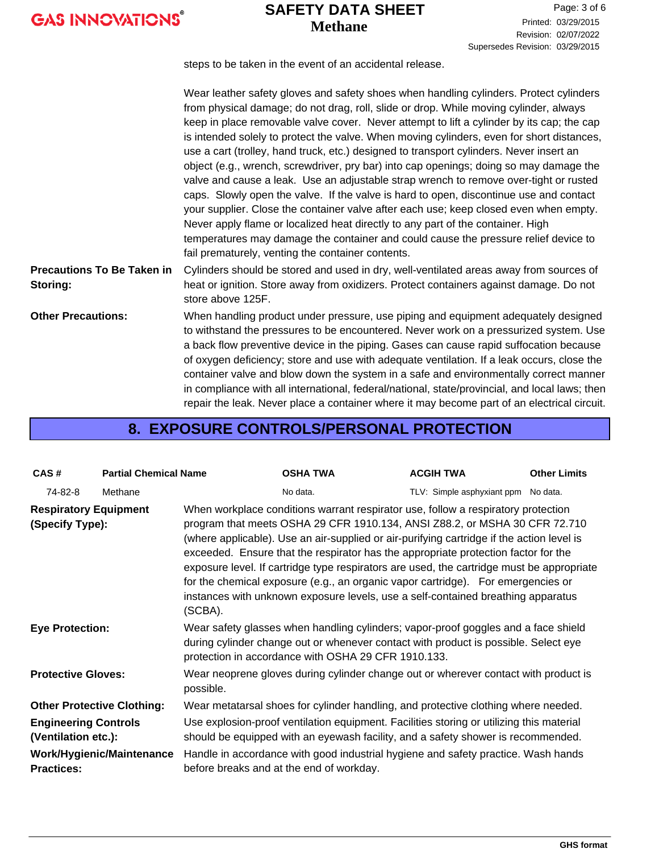## **Methane SAFETY DATA SHEET**

Page: 3 of 6 Printed: 03/29/2015 Revision: 02/07/2022 Supersedes Revision: 03/29/2015

steps to be taken in the event of an accidental release.

|                                               | Wear leather safety gloves and safety shoes when handling cylinders. Protect cylinders<br>from physical damage; do not drag, roll, slide or drop. While moving cylinder, always<br>keep in place removable valve cover. Never attempt to lift a cylinder by its cap; the cap<br>is intended solely to protect the valve. When moving cylinders, even for short distances,<br>use a cart (trolley, hand truck, etc.) designed to transport cylinders. Never insert an<br>object (e.g., wrench, screwdriver, pry bar) into cap openings; doing so may damage the<br>valve and cause a leak. Use an adjustable strap wrench to remove over-tight or rusted<br>caps. Slowly open the valve. If the valve is hard to open, discontinue use and contact<br>your supplier. Close the container valve after each use; keep closed even when empty.<br>Never apply flame or localized heat directly to any part of the container. High<br>temperatures may damage the container and could cause the pressure relief device to |
|-----------------------------------------------|----------------------------------------------------------------------------------------------------------------------------------------------------------------------------------------------------------------------------------------------------------------------------------------------------------------------------------------------------------------------------------------------------------------------------------------------------------------------------------------------------------------------------------------------------------------------------------------------------------------------------------------------------------------------------------------------------------------------------------------------------------------------------------------------------------------------------------------------------------------------------------------------------------------------------------------------------------------------------------------------------------------------|
|                                               | fail prematurely, venting the container contents.                                                                                                                                                                                                                                                                                                                                                                                                                                                                                                                                                                                                                                                                                                                                                                                                                                                                                                                                                                    |
| <b>Precautions To Be Taken in</b><br>Storing: | Cylinders should be stored and used in dry, well-ventilated areas away from sources of<br>heat or ignition. Store away from oxidizers. Protect containers against damage. Do not<br>store above 125F.                                                                                                                                                                                                                                                                                                                                                                                                                                                                                                                                                                                                                                                                                                                                                                                                                |
| <b>Other Precautions:</b>                     | When handling product under pressure, use piping and equipment adequately designed<br>to withstand the pressures to be encountered. Never work on a pressurized system. Use<br>a back flow preventive device in the piping. Gases can cause rapid suffocation because<br>of oxygen deficiency; store and use with adequate ventilation. If a leak occurs, close the<br>container valve and blow down the system in a safe and environmentally correct manner<br>in compliance with all international, federal/national, state/provincial, and local laws; then<br>repair the leak. Never place a container where it may become part of an electrical circuit.                                                                                                                                                                                                                                                                                                                                                        |

## **8. EXPOSURE CONTROLS/PERSONAL PROTECTION**

| CAS#                                                                    | <b>Partial Chemical Name</b> |           | <b>OSHA TWA</b>                                                                                                                                                                                                                                                                                                                                                                                                                                                                                                                                                                                                         | <b>ACGIH TWA</b>                    | <b>Other Limits</b> |
|-------------------------------------------------------------------------|------------------------------|-----------|-------------------------------------------------------------------------------------------------------------------------------------------------------------------------------------------------------------------------------------------------------------------------------------------------------------------------------------------------------------------------------------------------------------------------------------------------------------------------------------------------------------------------------------------------------------------------------------------------------------------------|-------------------------------------|---------------------|
| 74-82-8                                                                 | Methane                      |           | No data.                                                                                                                                                                                                                                                                                                                                                                                                                                                                                                                                                                                                                | TLV: Simple asphyxiant ppm No data. |                     |
| <b>Respiratory Equipment</b><br>(Specify Type):                         |                              | (SCBA).   | When workplace conditions warrant respirator use, follow a respiratory protection<br>program that meets OSHA 29 CFR 1910.134, ANSI Z88.2, or MSHA 30 CFR 72.710<br>(where applicable). Use an air-supplied or air-purifying cartridge if the action level is<br>exceeded. Ensure that the respirator has the appropriate protection factor for the<br>exposure level. If cartridge type respirators are used, the cartridge must be appropriate<br>for the chemical exposure (e.g., an organic vapor cartridge). For emergencies or<br>instances with unknown exposure levels, use a self-contained breathing apparatus |                                     |                     |
| <b>Eye Protection:</b>                                                  |                              |           | Wear safety glasses when handling cylinders; vapor-proof goggles and a face shield<br>during cylinder change out or whenever contact with product is possible. Select eye<br>protection in accordance with OSHA 29 CFR 1910.133.                                                                                                                                                                                                                                                                                                                                                                                        |                                     |                     |
| <b>Protective Gloves:</b>                                               |                              | possible. | Wear neoprene gloves during cylinder change out or wherever contact with product is                                                                                                                                                                                                                                                                                                                                                                                                                                                                                                                                     |                                     |                     |
| <b>Other Protective Clothing:</b>                                       |                              |           | Wear metatarsal shoes for cylinder handling, and protective clothing where needed.                                                                                                                                                                                                                                                                                                                                                                                                                                                                                                                                      |                                     |                     |
| <b>Engineering Controls</b><br>(Ventilation etc.):<br><b>Practices:</b> | Work/Hygienic/Maintenance    |           | Use explosion-proof ventilation equipment. Facilities storing or utilizing this material<br>should be equipped with an eyewash facility, and a safety shower is recommended.<br>Handle in accordance with good industrial hygiene and safety practice. Wash hands<br>before breaks and at the end of workday.                                                                                                                                                                                                                                                                                                           |                                     |                     |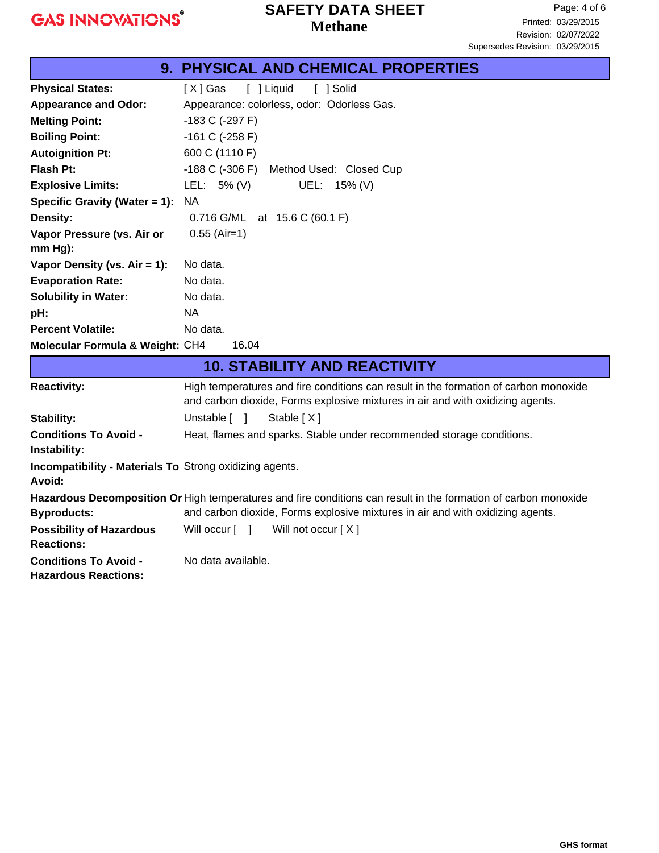**Conditions To Avoid -** No data available.

**Hazardous Reactions:**

## **Methane SAFETY DATA SHEET**

|                                                                          | 9. PHYSICAL AND CHEMICAL PROPERTIES                                                                                                                                    |
|--------------------------------------------------------------------------|------------------------------------------------------------------------------------------------------------------------------------------------------------------------|
| <b>Physical States:</b>                                                  | $[X]$ Gas<br>[ ] Liquid<br>[ ] Solid                                                                                                                                   |
| <b>Appearance and Odor:</b>                                              | Appearance: colorless, odor: Odorless Gas.                                                                                                                             |
| <b>Melting Point:</b>                                                    | $-183$ C ( $-297$ F)                                                                                                                                                   |
| <b>Boiling Point:</b>                                                    | $-161$ C ( $-258$ F)                                                                                                                                                   |
| <b>Autoignition Pt:</b>                                                  | 600 C (1110 F)                                                                                                                                                         |
| <b>Flash Pt:</b>                                                         | $-188$ C $(-306)$ F)<br>Method Used: Closed Cup                                                                                                                        |
| <b>Explosive Limits:</b>                                                 | LEL: $5\%$ (V)<br>UEL: 15% (V)                                                                                                                                         |
| Specific Gravity (Water = 1):                                            | <b>NA</b>                                                                                                                                                              |
| Density:                                                                 | 0.716 G/ML at 15.6 C (60.1 F)                                                                                                                                          |
| Vapor Pressure (vs. Air or                                               | $0.55$ (Air=1)                                                                                                                                                         |
| $mm Hg$ ):                                                               |                                                                                                                                                                        |
| Vapor Density (vs. Air = 1):                                             | No data.                                                                                                                                                               |
| <b>Evaporation Rate:</b>                                                 | No data.                                                                                                                                                               |
| <b>Solubility in Water:</b>                                              | No data.                                                                                                                                                               |
| pH:                                                                      | <b>NA</b>                                                                                                                                                              |
| <b>Percent Volatile:</b>                                                 | No data.                                                                                                                                                               |
| Molecular Formula & Weight: CH4                                          | 16.04                                                                                                                                                                  |
|                                                                          | <b>10. STABILITY AND REACTIVITY</b>                                                                                                                                    |
| <b>Reactivity:</b>                                                       | High temperatures and fire conditions can result in the formation of carbon monoxide<br>and carbon dioxide, Forms explosive mixtures in air and with oxidizing agents. |
| <b>Stability:</b>                                                        | Unstable [ ]<br>Stable [X]                                                                                                                                             |
| <b>Conditions To Avoid -</b><br>Instability:                             | Heat, flames and sparks. Stable under recommended storage conditions.                                                                                                  |
| <b>Incompatibility - Materials To Strong oxidizing agents.</b><br>Avoid: |                                                                                                                                                                        |
|                                                                          | Hazardous Decomposition Or High temperatures and fire conditions can result in the formation of carbon monoxide                                                        |
| <b>Byproducts:</b>                                                       | and carbon dioxide, Forms explosive mixtures in air and with oxidizing agents.                                                                                         |
| <b>Possibility of Hazardous</b><br><b>Reactions:</b>                     | Will not occur [X]<br>Will occur [ ]                                                                                                                                   |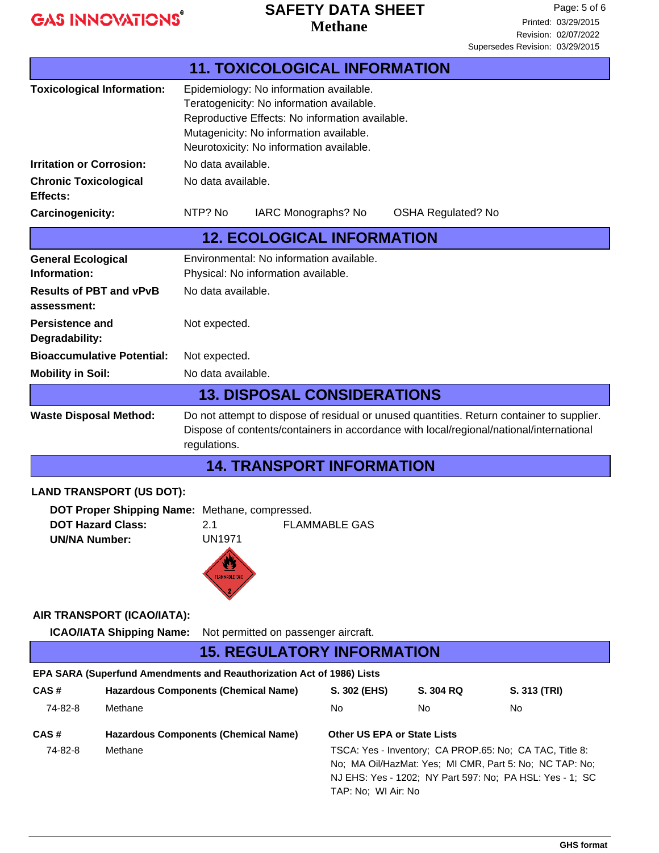## **Methane SAFETY DATA SHEET**

Page: 5 of 6 Printed: 03/29/2015 Revision: 02/07/2022 Supersedes Revision: 03/29/2015

| <b>11. TOXICOLOGICAL INFORMATION</b>                                                                                                                                                                          |                                                                                                                                                                                                                                       |                                                                                                                                                                                                                                |                             |                                                                                                                                                                                |              |
|---------------------------------------------------------------------------------------------------------------------------------------------------------------------------------------------------------------|---------------------------------------------------------------------------------------------------------------------------------------------------------------------------------------------------------------------------------------|--------------------------------------------------------------------------------------------------------------------------------------------------------------------------------------------------------------------------------|-----------------------------|--------------------------------------------------------------------------------------------------------------------------------------------------------------------------------|--------------|
| <b>Toxicological Information:</b>                                                                                                                                                                             |                                                                                                                                                                                                                                       | Epidemiology: No information available.<br>Teratogenicity: No information available.<br>Reproductive Effects: No information available.<br>Mutagenicity: No information available.<br>Neurotoxicity: No information available. |                             |                                                                                                                                                                                |              |
| <b>Irritation or Corrosion:</b>                                                                                                                                                                               |                                                                                                                                                                                                                                       | No data available.                                                                                                                                                                                                             |                             |                                                                                                                                                                                |              |
| <b>Chronic Toxicological</b><br>Effects:                                                                                                                                                                      |                                                                                                                                                                                                                                       | No data available.                                                                                                                                                                                                             |                             |                                                                                                                                                                                |              |
| Carcinogenicity:                                                                                                                                                                                              |                                                                                                                                                                                                                                       | NTP? No<br>IARC Monographs? No                                                                                                                                                                                                 |                             | <b>OSHA Regulated? No</b>                                                                                                                                                      |              |
|                                                                                                                                                                                                               |                                                                                                                                                                                                                                       | <b>12. ECOLOGICAL INFORMATION</b>                                                                                                                                                                                              |                             |                                                                                                                                                                                |              |
| <b>General Ecological</b><br>Information:                                                                                                                                                                     |                                                                                                                                                                                                                                       | Environmental: No information available.<br>Physical: No information available.                                                                                                                                                |                             |                                                                                                                                                                                |              |
| <b>Results of PBT and vPvB</b><br>assessment:                                                                                                                                                                 |                                                                                                                                                                                                                                       | No data available.                                                                                                                                                                                                             |                             |                                                                                                                                                                                |              |
| <b>Persistence and</b><br>Degradability:                                                                                                                                                                      |                                                                                                                                                                                                                                       | Not expected.                                                                                                                                                                                                                  |                             |                                                                                                                                                                                |              |
| <b>Bioaccumulative Potential:</b>                                                                                                                                                                             |                                                                                                                                                                                                                                       | Not expected.                                                                                                                                                                                                                  |                             |                                                                                                                                                                                |              |
| <b>Mobility in Soil:</b>                                                                                                                                                                                      |                                                                                                                                                                                                                                       | No data available.                                                                                                                                                                                                             |                             |                                                                                                                                                                                |              |
|                                                                                                                                                                                                               |                                                                                                                                                                                                                                       | <b>13. DISPOSAL CONSIDERATIONS</b>                                                                                                                                                                                             |                             |                                                                                                                                                                                |              |
|                                                                                                                                                                                                               | Do not attempt to dispose of residual or unused quantities. Return container to supplier.<br><b>Waste Disposal Method:</b><br>Dispose of contents/containers in accordance with local/regional/national/international<br>regulations. |                                                                                                                                                                                                                                |                             |                                                                                                                                                                                |              |
|                                                                                                                                                                                                               |                                                                                                                                                                                                                                       | <b>14. TRANSPORT INFORMATION</b>                                                                                                                                                                                               |                             |                                                                                                                                                                                |              |
|                                                                                                                                                                                                               |                                                                                                                                                                                                                                       |                                                                                                                                                                                                                                |                             |                                                                                                                                                                                |              |
| <b>LAND TRANSPORT (US DOT):</b><br>DOT Proper Shipping Name: Methane, compressed.<br><b>DOT Hazard Class:</b><br><b>FLAMMABLE GAS</b><br>2.1<br><b>UN1971</b><br><b>UN/NA Number:</b><br><b>FLAMMABLE GAS</b> |                                                                                                                                                                                                                                       |                                                                                                                                                                                                                                |                             |                                                                                                                                                                                |              |
|                                                                                                                                                                                                               | AIR TRANSPORT (ICAO/IATA):                                                                                                                                                                                                            |                                                                                                                                                                                                                                |                             |                                                                                                                                                                                |              |
|                                                                                                                                                                                                               | <b>ICAO/IATA Shipping Name:</b>                                                                                                                                                                                                       | Not permitted on passenger aircraft.                                                                                                                                                                                           |                             |                                                                                                                                                                                |              |
|                                                                                                                                                                                                               |                                                                                                                                                                                                                                       | <b>15. REGULATORY INFORMATION</b>                                                                                                                                                                                              |                             |                                                                                                                                                                                |              |
|                                                                                                                                                                                                               |                                                                                                                                                                                                                                       | EPA SARA (Superfund Amendments and Reauthorization Act of 1986) Lists                                                                                                                                                          |                             |                                                                                                                                                                                |              |
| CAS#                                                                                                                                                                                                          |                                                                                                                                                                                                                                       | <b>Hazardous Components (Chemical Name)</b>                                                                                                                                                                                    | S. 302 (EHS)                | S. 304 RQ                                                                                                                                                                      | S. 313 (TRI) |
| 74-82-8                                                                                                                                                                                                       | Methane                                                                                                                                                                                                                               |                                                                                                                                                                                                                                | No.                         | No                                                                                                                                                                             | No           |
| CAS#                                                                                                                                                                                                          |                                                                                                                                                                                                                                       | <b>Hazardous Components (Chemical Name)</b>                                                                                                                                                                                    | Other US EPA or State Lists |                                                                                                                                                                                |              |
| 74-82-8                                                                                                                                                                                                       | Methane                                                                                                                                                                                                                               |                                                                                                                                                                                                                                | TAP: No; WI Air: No         | TSCA: Yes - Inventory; CA PROP.65: No; CA TAC, Title 8:<br>No; MA Oil/HazMat: Yes; MI CMR, Part 5: No; NC TAP: No;<br>NJ EHS: Yes - 1202; NY Part 597: No; PA HSL: Yes - 1; SC |              |